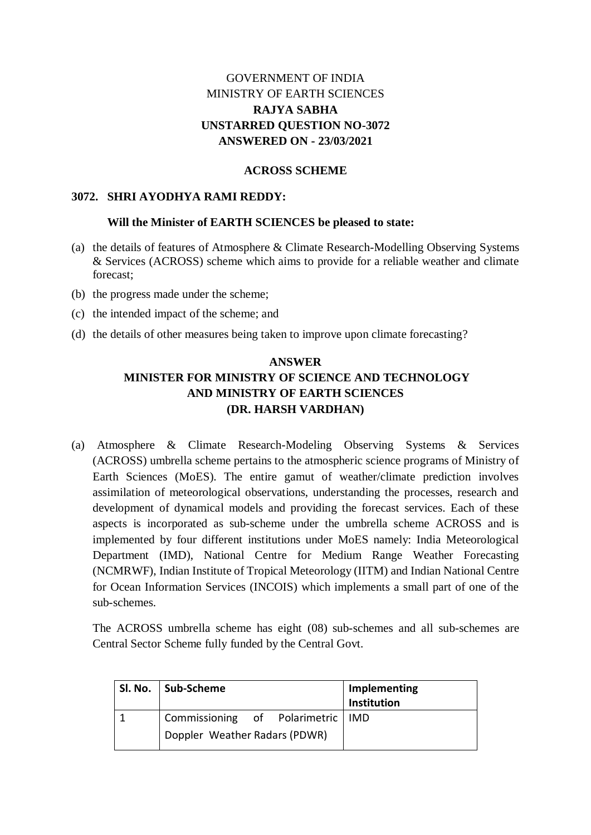### GOVERNMENT OF INDIA MINISTRY OF EARTH SCIENCES **RAJYA SABHA UNSTARRED QUESTION NO-3072 ANSWERED ON - 23/03/2021**

### **ACROSS SCHEME**

### **3072. SHRI AYODHYA RAMI REDDY:**

#### **Will the Minister of EARTH SCIENCES be pleased to state:**

- (a) the details of features of Atmosphere & Climate Research-Modelling Observing Systems & Services (ACROSS) scheme which aims to provide for a reliable weather and climate forecast;
- (b) the progress made under the scheme;
- (c) the intended impact of the scheme; and
- (d) the details of other measures being taken to improve upon climate forecasting?

# **ANSWER MINISTER FOR MINISTRY OF SCIENCE AND TECHNOLOGY AND MINISTRY OF EARTH SCIENCES (DR. HARSH VARDHAN)**

(a) Atmosphere & Climate Research-Modeling Observing Systems & Services (ACROSS) umbrella scheme pertains to the atmospheric science programs of Ministry of Earth Sciences (MoES). The entire gamut of weather/climate prediction involves assimilation of meteorological observations, understanding the processes, research and development of dynamical models and providing the forecast services. Each of these aspects is incorporated as sub-scheme under the umbrella scheme ACROSS and is implemented by four different institutions under MoES namely: India Meteorological Department (IMD), National Centre for Medium Range Weather Forecasting (NCMRWF), Indian Institute of Tropical Meteorology (IITM) and Indian National Centre for Ocean Information Services (INCOIS) which implements a small part of one of the sub-schemes.

The ACROSS umbrella scheme has eight (08) sub-schemes and all sub-schemes are Central Sector Scheme fully funded by the Central Govt.

| Sl. No.   Sub-Scheme                | Implementing<br>Institution |
|-------------------------------------|-----------------------------|
| Commissioning of Polarimetric   IMD |                             |
| Doppler Weather Radars (PDWR)       |                             |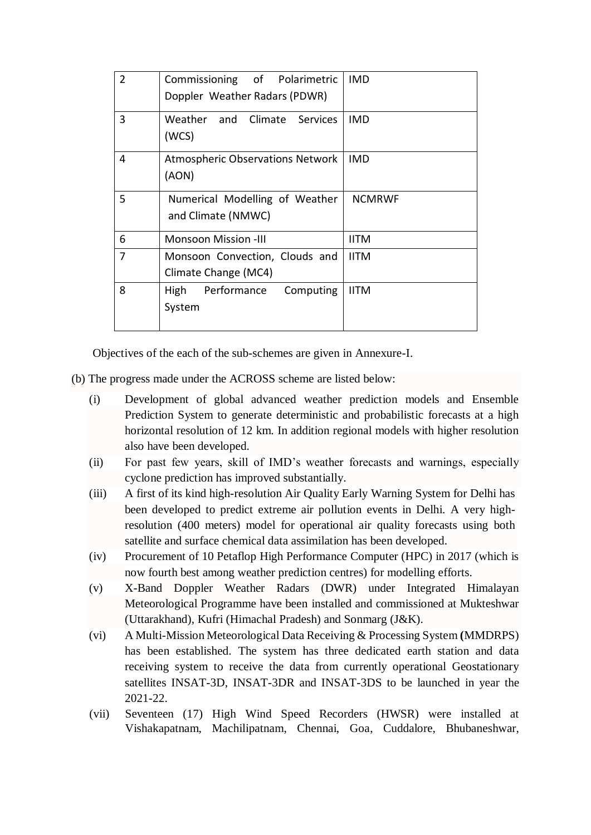| $\overline{2}$ | Commissioning of Polarimetric           | <b>IMD</b>    |
|----------------|-----------------------------------------|---------------|
|                | Doppler Weather Radars (PDWR)           |               |
| 3              | Weather and Climate Services            | <b>IMD</b>    |
|                | (WCS)                                   |               |
| 4              | <b>Atmospheric Observations Network</b> | <b>IMD</b>    |
|                | (AON)                                   |               |
| 5              | Numerical Modelling of Weather          | <b>NCMRWF</b> |
|                | and Climate (NMWC)                      |               |
| 6              | <b>Monsoon Mission -III</b>             | <b>IITM</b>   |
| 7              | Monsoon Convection, Clouds and          | <b>IITM</b>   |
|                | Climate Change (MC4)                    |               |
| 8              | Performance Computing<br><b>High</b>    | <b>IITM</b>   |
|                | System                                  |               |
|                |                                         |               |

Objectives of the each of the sub-schemes are given in Annexure-I.

- (b) The progress made under the ACROSS scheme are listed below:
	- (i) Development of global advanced weather prediction models and Ensemble Prediction System to generate deterministic and probabilistic forecasts at a high horizontal resolution of 12 km. In addition regional models with higher resolution also have been developed.
	- (ii) For past few years, skill of IMD's weather forecasts and warnings, especially cyclone prediction has improved substantially.
	- (iii) A first of its kind high-resolution Air Quality Early Warning System for Delhi has been developed to predict extreme air pollution events in Delhi. A very highresolution (400 meters) model for operational air quality forecasts using both satellite and surface chemical data assimilation has been developed.
	- (iv) Procurement of 10 Petaflop High Performance Computer (HPC) in 2017 (which is now fourth best among weather prediction centres) for modelling efforts.
	- (v) X-Band Doppler Weather Radars (DWR) under Integrated Himalayan Meteorological Programme have been installed and commissioned at Mukteshwar (Uttarakhand), Kufri (Himachal Pradesh) and Sonmarg (J&K).
	- (vi) A Multi-Mission Meteorological Data Receiving & Processing System **(**MMDRPS) has been established. The system has three dedicated earth station and data receiving system to receive the data from currently operational Geostationary satellites INSAT-3D, INSAT-3DR and INSAT-3DS to be launched in year the 2021-22.
	- (vii) Seventeen (17) High Wind Speed Recorders (HWSR) were installed at Vishakapatnam, Machilipatnam, Chennai, Goa, Cuddalore, Bhubaneshwar,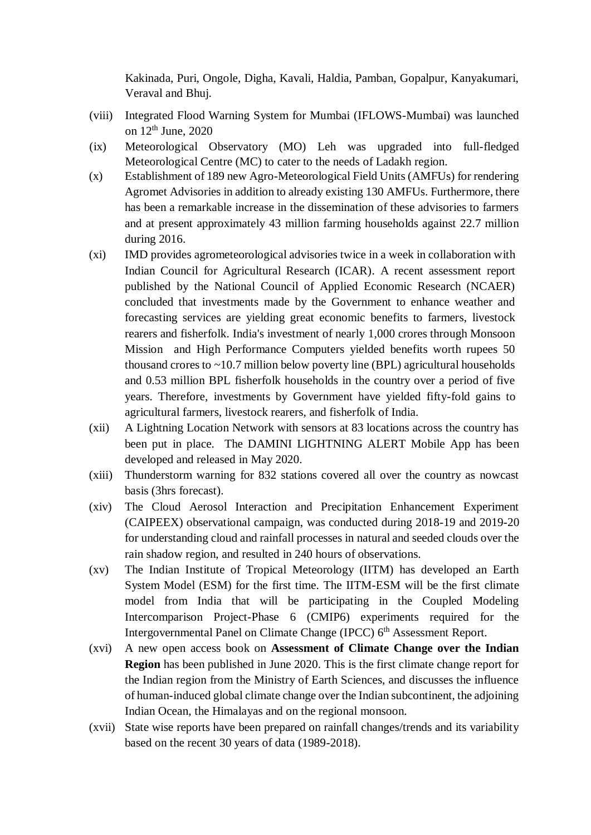Kakinada, Puri, Ongole, Digha, Kavali, Haldia, Pamban, Gopalpur, Kanyakumari, Veraval and Bhuj.

- (viii) Integrated Flood Warning System for Mumbai (IFLOWS-Mumbai) was launched on  $12<sup>th</sup>$  June,  $2020$
- (ix) Meteorological Observatory (MO) Leh was upgraded into full-fledged Meteorological Centre (MC) to cater to the needs of Ladakh region.
- (x) Establishment of 189 new Agro-Meteorological Field Units (AMFUs) for rendering Agromet Advisories in addition to already existing 130 AMFUs. Furthermore, there has been a remarkable increase in the dissemination of these advisories to farmers and at present approximately 43 million farming households against 22.7 million during 2016.
- (xi) IMD provides agrometeorological advisories twice in a week in collaboration with Indian Council for Agricultural Research (ICAR). A recent assessment report published by the National Council of Applied Economic Research (NCAER) concluded that investments made by the Government to enhance weather and forecasting services are yielding great economic benefits to farmers, livestock rearers and fisherfolk. India's investment of nearly 1,000 crores through Monsoon Mission and High Performance Computers yielded benefits worth rupees 50 thousand crores to  $\sim$ 10.7 million below poverty line (BPL) agricultural households and 0.53 million BPL fisherfolk households in the country over a period of five years. Therefore, investments by Government have yielded fifty-fold gains to agricultural farmers, livestock rearers, and fisherfolk of India.
- (xii) A Lightning Location Network with sensors at 83 locations across the country has been put in place. The DAMINI LIGHTNING ALERT Mobile App has been developed and released in May 2020.
- (xiii) Thunderstorm warning for 832 stations covered all over the country as nowcast basis (3hrs forecast).
- (xiv) The Cloud Aerosol Interaction and Precipitation Enhancement Experiment (CAIPEEX) observational campaign, was conducted during 2018-19 and 2019-20 for understanding cloud and rainfall processes in natural and seeded clouds over the rain shadow region, and resulted in 240 hours of observations.
- (xv) The Indian Institute of Tropical Meteorology (IITM) has developed an Earth System Model (ESM) for the first time. The IITM-ESM will be the first climate model from India that will be participating in the Coupled Modeling Intercomparison Project-Phase 6 (CMIP6) experiments required for the Intergovernmental Panel on Climate Change (IPCC) 6<sup>th</sup> Assessment Report.
- (xvi) A new open access book on **Assessment of Climate Change over the Indian Region** has been published in June 2020. This is the first climate change report for the Indian region from the Ministry of Earth Sciences, and discusses the influence of human-induced global climate change over the Indian subcontinent, the adjoining Indian Ocean, the Himalayas and on the regional monsoon.
- (xvii) State wise reports have been prepared on rainfall changes/trends and its variability based on the recent 30 years of data (1989-2018).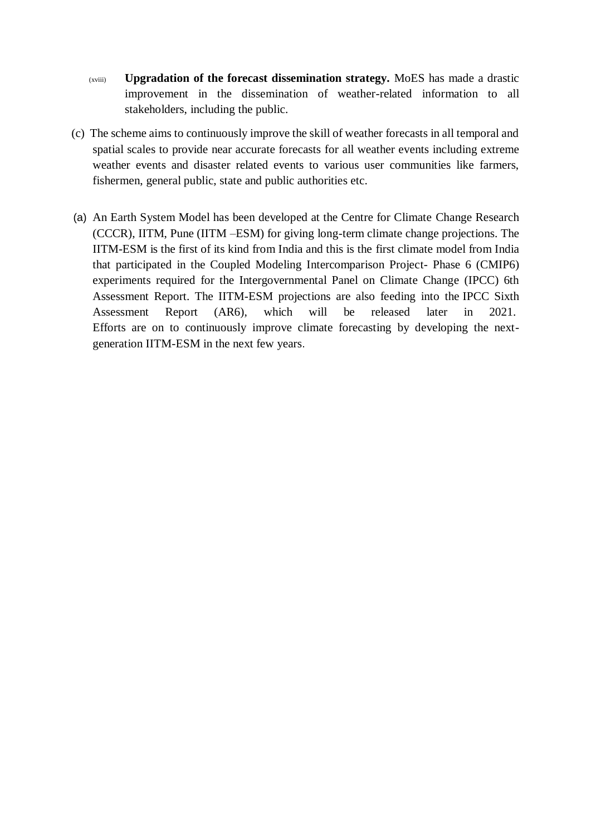- (xviii) **Upgradation of the forecast dissemination strategy.** MoES has made a drastic improvement in the dissemination of weather-related information to all stakeholders, including the public.
- (c) The scheme aims to continuously improve the skill of weather forecasts in all temporal and spatial scales to provide near accurate forecasts for all weather events including extreme weather events and disaster related events to various user communities like farmers, fishermen, general public, state and public authorities etc.
- (a) An Earth System Model has been developed at the Centre for Climate Change Research (CCCR), IITM, Pune (IITM –ESM) for giving long-term climate change projections. The IITM-ESM is the first of its kind from India and this is the first climate model from India that participated in the Coupled Modeling Intercomparison Project- Phase 6 (CMIP6) experiments required for the Intergovernmental Panel on Climate Change (IPCC) 6th Assessment Report. The IITM-ESM projections are also feeding into the IPCC Sixth Assessment Report (AR6), which will be released later in 2021. Efforts are on to continuously improve climate forecasting by developing the nextgeneration IITM-ESM in the next few years.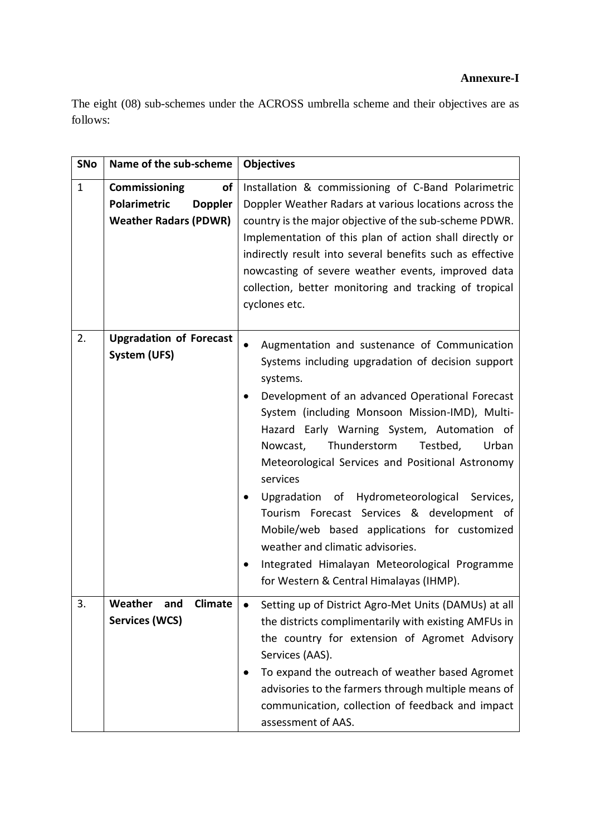# **Annexure-I**

The eight (08) sub-schemes under the ACROSS umbrella scheme and their objectives are as follows:

| <b>SNo</b>   | Name of the sub-scheme                                                                              | <b>Objectives</b>                                                                                                                                                                                                                                                                                                                                                                                                                                                                                                                                                                                                                                                               |
|--------------|-----------------------------------------------------------------------------------------------------|---------------------------------------------------------------------------------------------------------------------------------------------------------------------------------------------------------------------------------------------------------------------------------------------------------------------------------------------------------------------------------------------------------------------------------------------------------------------------------------------------------------------------------------------------------------------------------------------------------------------------------------------------------------------------------|
| $\mathbf{1}$ | <b>Commissioning</b><br>of<br><b>Polarimetric</b><br><b>Doppler</b><br><b>Weather Radars (PDWR)</b> | Installation & commissioning of C-Band Polarimetric<br>Doppler Weather Radars at various locations across the<br>country is the major objective of the sub-scheme PDWR.<br>Implementation of this plan of action shall directly or<br>indirectly result into several benefits such as effective<br>nowcasting of severe weather events, improved data<br>collection, better monitoring and tracking of tropical<br>cyclones etc.                                                                                                                                                                                                                                                |
| 2.           | <b>Upgradation of Forecast</b><br>System (UFS)                                                      | Augmentation and sustenance of Communication<br>Systems including upgradation of decision support<br>systems.<br>Development of an advanced Operational Forecast<br>$\bullet$<br>System (including Monsoon Mission-IMD), Multi-<br>Hazard Early Warning System, Automation of<br>Thunderstorm<br>Testbed,<br>Urban<br>Nowcast,<br>Meteorological Services and Positional Astronomy<br>services<br>Upgradation of Hydrometeorological<br>Services,<br>Tourism Forecast Services & development of<br>Mobile/web based applications for customized<br>weather and climatic advisories.<br>Integrated Himalayan Meteorological Programme<br>for Western & Central Himalayas (IHMP). |
| 3.           | Weather<br>and<br><b>Climate</b><br><b>Services (WCS)</b>                                           | Setting up of District Agro-Met Units (DAMUs) at all<br>the districts complimentarily with existing AMFUs in<br>the country for extension of Agromet Advisory<br>Services (AAS).<br>To expand the outreach of weather based Agromet<br>advisories to the farmers through multiple means of<br>communication, collection of feedback and impact<br>assessment of AAS.                                                                                                                                                                                                                                                                                                            |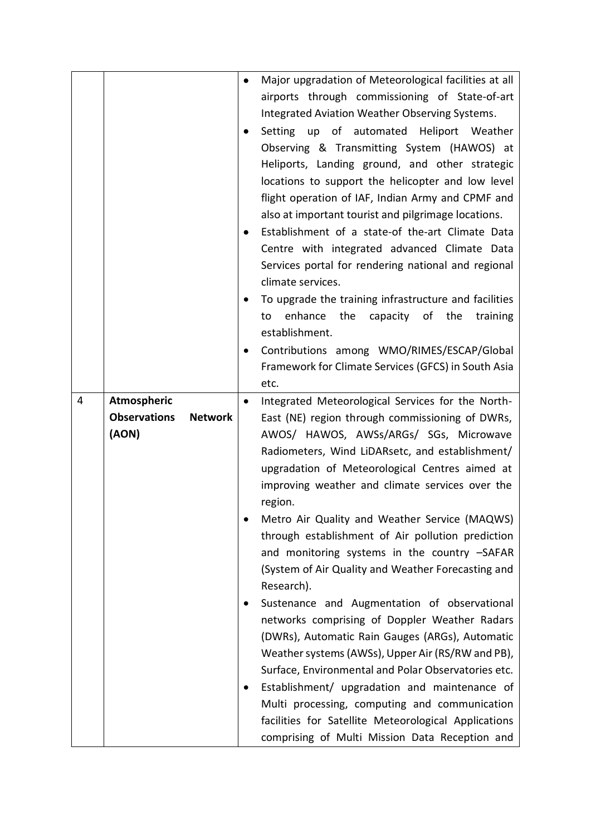|   |                                       | ٠         | Major upgradation of Meteorological facilities at all |
|---|---------------------------------------|-----------|-------------------------------------------------------|
|   |                                       |           | airports through commissioning of State-of-art        |
|   |                                       |           | Integrated Aviation Weather Observing Systems.        |
|   |                                       |           | Setting up of automated Heliport Weather              |
|   |                                       |           | Observing & Transmitting System (HAWOS) at            |
|   |                                       |           | Heliports, Landing ground, and other strategic        |
|   |                                       |           | locations to support the helicopter and low level     |
|   |                                       |           | flight operation of IAF, Indian Army and CPMF and     |
|   |                                       |           | also at important tourist and pilgrimage locations.   |
|   |                                       |           | Establishment of a state-of the-art Climate Data      |
|   |                                       |           | Centre with integrated advanced Climate Data          |
|   |                                       |           | Services portal for rendering national and regional   |
|   |                                       |           | climate services.                                     |
|   |                                       |           | To upgrade the training infrastructure and facilities |
|   |                                       |           | the<br>capacity of the<br>enhance<br>training<br>to   |
|   |                                       |           | establishment.                                        |
|   |                                       |           | Contributions among WMO/RIMES/ESCAP/Global            |
|   |                                       |           | Framework for Climate Services (GFCS) in South Asia   |
|   |                                       |           | etc.                                                  |
| 4 | Atmospheric                           | $\bullet$ | Integrated Meteorological Services for the North-     |
|   |                                       |           |                                                       |
|   | <b>Observations</b><br><b>Network</b> |           | East (NE) region through commissioning of DWRs,       |
|   | (AON)                                 |           | AWOS/ HAWOS, AWSs/ARGs/ SGs, Microwave                |
|   |                                       |           | Radiometers, Wind LiDARsetc, and establishment/       |
|   |                                       |           | upgradation of Meteorological Centres aimed at        |
|   |                                       |           | improving weather and climate services over the       |
|   |                                       |           | region.                                               |
|   |                                       |           | Metro Air Quality and Weather Service (MAQWS)         |
|   |                                       |           | through establishment of Air pollution prediction     |
|   |                                       |           | and monitoring systems in the country -SAFAR          |
|   |                                       |           | (System of Air Quality and Weather Forecasting and    |
|   |                                       |           | Research).                                            |
|   |                                       |           | Sustenance and Augmentation of observational          |
|   |                                       |           | networks comprising of Doppler Weather Radars         |
|   |                                       |           | (DWRs), Automatic Rain Gauges (ARGs), Automatic       |
|   |                                       |           | Weather systems (AWSs), Upper Air (RS/RW and PB),     |
|   |                                       |           | Surface, Environmental and Polar Observatories etc.   |
|   |                                       |           | Establishment/ upgradation and maintenance of         |
|   |                                       |           | Multi processing, computing and communication         |
|   |                                       |           | facilities for Satellite Meteorological Applications  |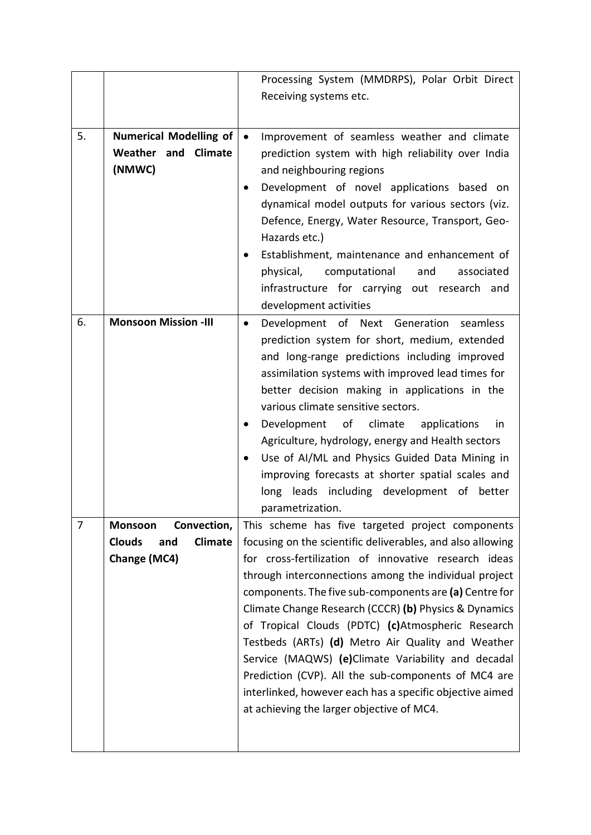|    |                                                                                  | Processing System (MMDRPS), Polar Orbit Direct                                                                                                                                                                                                                                                                                                                                                                                                                                                                                                                                                                                                                                     |
|----|----------------------------------------------------------------------------------|------------------------------------------------------------------------------------------------------------------------------------------------------------------------------------------------------------------------------------------------------------------------------------------------------------------------------------------------------------------------------------------------------------------------------------------------------------------------------------------------------------------------------------------------------------------------------------------------------------------------------------------------------------------------------------|
|    |                                                                                  | Receiving systems etc.                                                                                                                                                                                                                                                                                                                                                                                                                                                                                                                                                                                                                                                             |
|    |                                                                                  |                                                                                                                                                                                                                                                                                                                                                                                                                                                                                                                                                                                                                                                                                    |
| 5. | <b>Numerical Modelling of</b><br>Weather and Climate<br>(NMWC)                   | Improvement of seamless weather and climate<br>$\bullet$<br>prediction system with high reliability over India<br>and neighbouring regions<br>Development of novel applications based on<br>dynamical model outputs for various sectors (viz.<br>Defence, Energy, Water Resource, Transport, Geo-<br>Hazards etc.)                                                                                                                                                                                                                                                                                                                                                                 |
|    |                                                                                  | Establishment, maintenance and enhancement of<br>physical,<br>computational<br>and<br>associated<br>infrastructure for carrying out research and<br>development activities                                                                                                                                                                                                                                                                                                                                                                                                                                                                                                         |
| 6. | <b>Monsoon Mission -III</b>                                                      | Development of Next Generation seamless<br>$\bullet$<br>prediction system for short, medium, extended<br>and long-range predictions including improved<br>assimilation systems with improved lead times for<br>better decision making in applications in the<br>various climate sensitive sectors.<br>Development of climate applications<br>in<br>Agriculture, hydrology, energy and Health sectors<br>Use of AI/ML and Physics Guided Data Mining in<br>improving forecasts at shorter spatial scales and<br>long leads including development of better<br>parametrization.                                                                                                      |
| 7  | Convection,<br>Monsoon<br><b>Clouds</b><br><b>Climate</b><br>and<br>Change (MC4) | This scheme has five targeted project components<br>focusing on the scientific deliverables, and also allowing<br>for cross-fertilization of innovative research ideas<br>through interconnections among the individual project<br>components. The five sub-components are (a) Centre for<br>Climate Change Research (CCCR) (b) Physics & Dynamics<br>of Tropical Clouds (PDTC) (c)Atmospheric Research<br>Testbeds (ARTs) (d) Metro Air Quality and Weather<br>Service (MAQWS) (e)Climate Variability and decadal<br>Prediction (CVP). All the sub-components of MC4 are<br>interlinked, however each has a specific objective aimed<br>at achieving the larger objective of MC4. |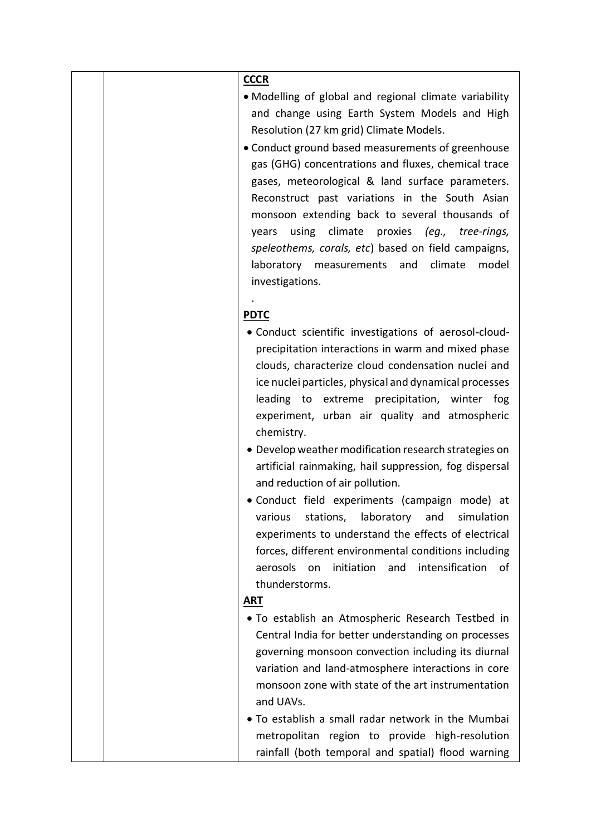| <b>CCCR</b>                                                                                                     |
|-----------------------------------------------------------------------------------------------------------------|
| • Modelling of global and regional climate variability                                                          |
| and change using Earth System Models and High                                                                   |
| Resolution (27 km grid) Climate Models.                                                                         |
| • Conduct ground based measurements of greenhouse                                                               |
| gas (GHG) concentrations and fluxes, chemical trace                                                             |
| gases, meteorological & land surface parameters.                                                                |
| Reconstruct past variations in the South Asian                                                                  |
| monsoon extending back to several thousands of                                                                  |
| using climate proxies (eg., tree-rings,<br>years                                                                |
| speleothems, corals, etc) based on field campaigns,                                                             |
| laboratory measurements and<br>climate<br>model                                                                 |
| investigations.                                                                                                 |
|                                                                                                                 |
| <b>PDTC</b>                                                                                                     |
| • Conduct scientific investigations of aerosol-cloud-                                                           |
| precipitation interactions in warm and mixed phase                                                              |
| clouds, characterize cloud condensation nuclei and                                                              |
| ice nuclei particles, physical and dynamical processes                                                          |
| leading to extreme precipitation, winter fog                                                                    |
| experiment, urban air quality and atmospheric                                                                   |
| chemistry.                                                                                                      |
| • Develop weather modification research strategies on<br>artificial rainmaking, hail suppression, fog dispersal |
| and reduction of air pollution.                                                                                 |
| · Conduct field experiments (campaign mode) at                                                                  |
| stations, laboratory and<br>simulation<br>various                                                               |
| experiments to understand the effects of electrical                                                             |
| forces, different environmental conditions including                                                            |
| intensification<br>aerosols<br>initiation<br>and<br>οf<br>on                                                    |
| thunderstorms.                                                                                                  |
| <b>ART</b>                                                                                                      |
| • To establish an Atmospheric Research Testbed in                                                               |
| Central India for better understanding on processes                                                             |
| governing monsoon convection including its diurnal                                                              |
| variation and land-atmosphere interactions in core                                                              |
| monsoon zone with state of the art instrumentation                                                              |
| and UAVs.                                                                                                       |
| • To establish a small radar network in the Mumbai                                                              |
| metropolitan region to provide high-resolution                                                                  |
| rainfall (both temporal and spatial) flood warning                                                              |